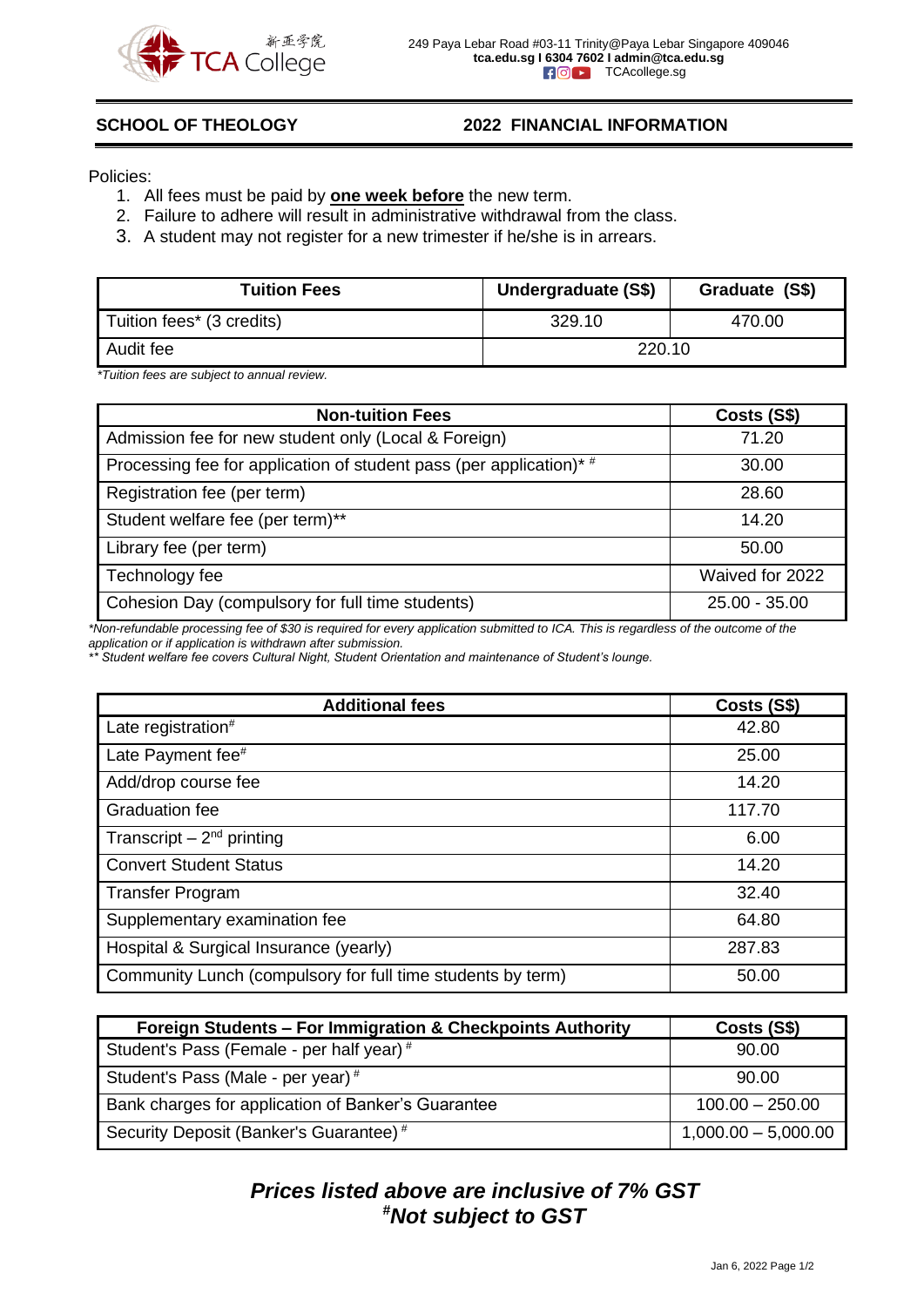

### **SCHOOL OF THEOLOGY 2022 FINANCIAL INFORMATION**

Policies:

- 1. All fees must be paid by **one week before** the new term.
- 2. Failure to adhere will result in administrative withdrawal from the class.
- 3. A student may not register for a new trimester if he/she is in arrears.

| <b>Tuition Fees</b>       | Undergraduate (S\$) | Graduate (S\$) |
|---------------------------|---------------------|----------------|
| Tuition fees* (3 credits) | 329.10              | 470.00         |
| Audit fee                 | 220.10              |                |

*\*Tuition fees are subject to annual review.*

| <b>Non-tuition Fees</b>                                            | Costs (S\$)     |
|--------------------------------------------------------------------|-----------------|
| Admission fee for new student only (Local & Foreign)               | 71.20           |
| Processing fee for application of student pass (per application)*# | 30.00           |
| Registration fee (per term)                                        | 28.60           |
| Student welfare fee (per term)**                                   | 14.20           |
| Library fee (per term)                                             | 50.00           |
| Technology fee                                                     | Waived for 2022 |
| Cohesion Day (compulsory for full time students)                   | $25.00 - 35.00$ |

*\*Non-refundable processing fee of \$30 is required for every application submitted to ICA. This is regardless of the outcome of the application or if application is withdrawn after submission.*

*\*\* Student welfare fee covers Cultural Night, Student Orientation and maintenance of Student's lounge.*

| <b>Additional fees</b>                                      | Costs (S\$) |
|-------------------------------------------------------------|-------------|
| Late registration <sup>#</sup>                              | 42.80       |
| Late Payment fee <sup>#</sup>                               | 25.00       |
| Add/drop course fee                                         | 14.20       |
| <b>Graduation fee</b>                                       | 117.70      |
| Transcript $-2^{nd}$ printing                               | 6.00        |
| <b>Convert Student Status</b>                               | 14.20       |
| <b>Transfer Program</b>                                     | 32.40       |
| Supplementary examination fee                               | 64.80       |
| Hospital & Surgical Insurance (yearly)                      | 287.83      |
| Community Lunch (compulsory for full time students by term) | 50.00       |

| Foreign Students - For Immigration & Checkpoints Authority | Costs (S\$)           |
|------------------------------------------------------------|-----------------------|
| Student's Pass (Female - per half year) #                  | 90.00                 |
| Student's Pass (Male - per year) #                         | 90.00                 |
| Bank charges for application of Banker's Guarantee         | $100.00 - 250.00$     |
| Security Deposit (Banker's Guarantee) <sup>#</sup>         | $1,000.00 - 5,000.00$ |

## *Prices listed above are inclusive of 7% GST #Not subject to GST*